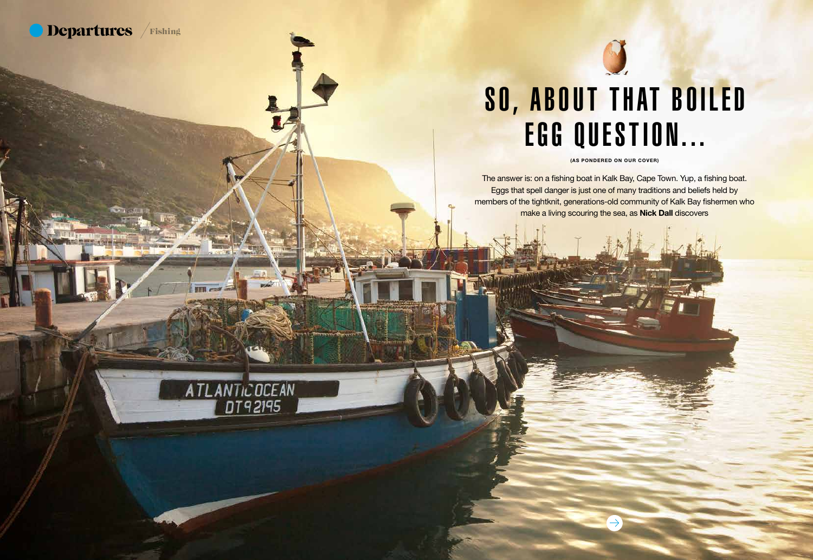The answer is: on a fishing boat in Kalk Bay, Cape Town. Yup, a fishing boat. Eggs that spell danger is just one of many traditions and beliefs held by members of the tightknit, generations-old community of Kalk Bay fishermen who make a living scouring the sea, as Nick Dall discovers



(AS PONDERED ON OUR COVER)

44 south africa south africa south africa 44 south africa 44 south africa 45 south africa 45 south africa 45 south africa 45 south africa 45 south africa 45 south africa 45 south africa 45 south africa 45 south africa 45 s



ATLANTIC OCEAN



### SO, ABOUT THAT BOILED EGG QUESTION...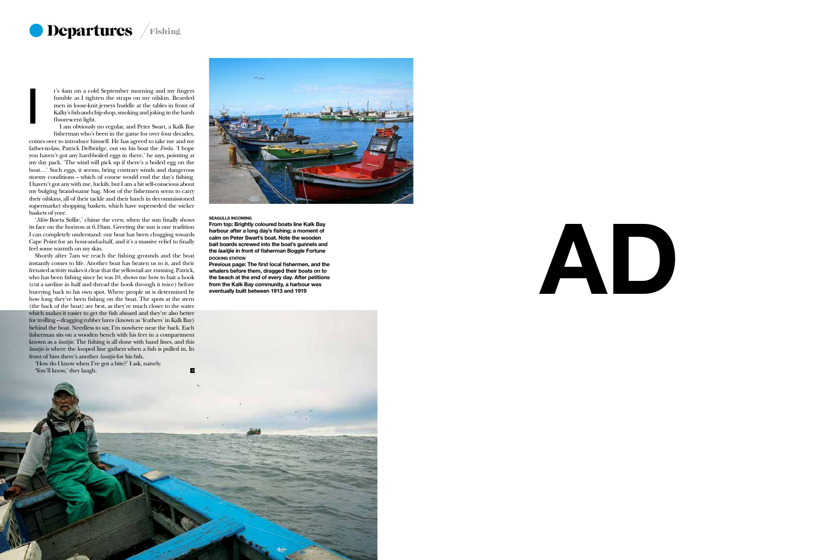# AD





t's 4am on a cold September morning and my fingers fumble as I tighten the straps on my oilskin. Bearded men in loose-knit jerseys huddle at the tables in front of Kalky's fish-and-chip shop, smoking and joking in the harsh fluorescent light.

'*Môre* Boeta Sollie,' chime the crew, when the sun finally shows its face on the horizon at 6.19am. Greeting the sun is one tradition I can completely understand: our boat has been chugging towards Cape Point for an hour-and-a-half, and it's a massive relief to finally feel some warmth on my skin.

I am obviously no regular, and Peter Swart, a Kalk Bay fisherman who's been in the game for over four decades, comes over to introduce himself. He has agreed to take me and my father-in-law, Patrick Delbridge, out on his boat the *Freda.* 'I hope you haven't got any hard-boiled eggs in there,' he says, pointing at my day pack. 'The wind will pick up if there's a boiled egg on the boat…' Such eggs, it seems, bring contrary winds and dangerous stormy conditions -- which of course would end the day's fishing. I haven't got any with me, luckily, but I am a bit self-conscious about my bulging brand-name bag. Most of the fishermen seem to carry their oilskins, all of their tackle and their lunch in decommissioned supermarket shopping baskets, which have superseded the wicker baskets of yore. I

Shortly after 7am we reach the fishing grounds and the boat instantly comes to life. Another boat has beaten us to it, and their frenzied activity makes it clear that the yellowtail are running. Patrick, who has been fishing since he was 10, shows me how to bait a hook (cut a sardine in half and thread the hook through it twice) before hurrying back to his own spot. Where people sit is determined by how long they've been fishing on the boat. The spots at the stern (the back of the boat) are best, as they're much closer to the water which makes it easier to get the fish aboard and they're also better for trolling – dragging rubber lures (known as 'feathers' in Kalk Bay) behind the boat. Needless to say, I'm nowhere near the back. Each fisherman sits on a wooden bench with his feet in a compartment known as a *laaitjie*. The fishing is all done with hand lines, and this *laaitjie* is where the looped line gathers when a fish is pulled in. In front of him there's another *laaitjie* for his fish.

'How do I know when I've got a bite?' I ask, naively. 'You'll know,' they laugh.

 $\mathcal{A}$  south african set



#### SEAGULLS INCOMING

 $\blacksquare$ 

From top: Brightly coloured boats line Kalk Bay harbour after a long day's fishing; a moment of calm on Peter Swart's boat. Note the wooden bait boards screwed into the boat's gunnels and the *laaitjie* in front of fisherman Boggle Fortune DOCKING STATION

Previous page: The first local fishermen, and the whalers before them, dragged their boats on to the beach at the end of every day. After petitions from the Kalk Bay community, a harbour was eventually built between 1913 and 1919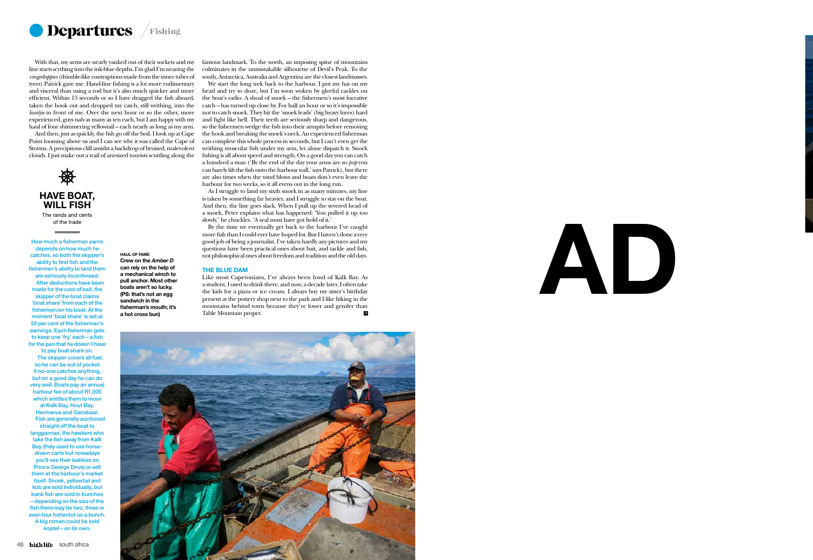# AD





With that, my arms are nearly yanked out of their sockets and my line starts scything into the ink-blue depths. I'm glad I'm wearing the *vingerlappies* (thimble-like contraptions made from the inner tubes of tyres) Patrick gave me. Hand-line fishing is a lot more rudimentary and visceral than using a rod but it's also much quicker and more efficient. Within 15 seconds or so I have dragged the fish aboard, taken the hook out and dropped my catch, still writhing, into the *laaitjie* in front of me. Over the next hour or so the other, more experienced, guys nab as many as ten each, but I am happy with my haul of four shimmering yellowtail – each nearly as long as my arm.

And then, just as quickly, the fish go off the boil. I look up at Cape Point looming above us and I can see why it was called the Cape of Storms. A precipitous cliff amidst a backdrop of bruised, malevolent clouds. I just make out a trail of ant-sized tourists scuttling along the



HAVE BOAT, WILL FISH The rands and cents

of the trade

How much a fisherman earns depends on how much he catches, so both the skipper's ability to find fish and the fishermen's ability to land them are seriously incentivised. After deductions have been made for the cost of bait, the skipper of the boat claims 'boat share' from each of the fishermen on his boat. At the moment 'boat share' is set at 50 per cent of the fisherman's earnings. Each fisherman gets to keep one 'fry' each – a fish for the pan that he doesn't have

to pay boat share on. The skipper covers all fuel, so he can be out of pocket if no-one catches anything, but on a good day he can do very well. Boats pay an annual harbour fee of about R1,000 which entitles them to moor at Kalk Bay, Hout Bay, Hermanus and Gansbaai. Fish are generally auctioned straight off the boat to *langgannas*, the hawkers who take the fish away from Kalk Bay (they used to use horsedrawn carts but nowadays you'll see their bakkies on Prince George Drive) or sell them at the harbour's market itself. Snoek, yellowtail and kob are sold individually, but bank fish are sold in bunches – depending on the size of the fish there may be two, three or even four hottentot on a bunch. A big roman could be sold *koptel* – on its own.

famous landmark. To the north, an imposing spine of mountains culminates in the unmistakable silhouette of Devil's Peak. To the south, Antarctica, Australia and Argentina are the closest landmasses.

We start the long trek back to the harbour. I put my hat on my head and try to doze, but I'm soon woken by gleeful cackles on the boat's radio. A shoal of snoek – the fishermen's most lucrative catch – has turned up close by. For half an hour or so it's impossible not to catch snoek. They hit the 'snoek leads' (big heavy lures) hard and fight like hell. Their teeth are seriously sharp and dangerous, so the fishermen wedge the fish into their armpits before removing the hook and breaking the snoek's neck. An experienced fisherman can complete this whole process in seconds, but I can't even get the writhing muscular fish under my arm, let alone dispatch it. Snoek fishing is all about speed and strength. On a good day you can catch a hundred a man ('By the end of the day your arms are so *pap* you can barely lift the fish onto the harbour wall,' says Patrick), but there are also times when the wind blows and boats don't even leave the harbour for two weeks, so it all evens out in the long run.

As I struggle to land my sixth snoek in as many minutes, my line is taken by something far heavier, and I struggle to stay on the boat. And then, the line goes slack. When I pull up the severed head of a snoek, Peter explains what has happened: 'You pulled it up too slowly,' he chuckles. 'A seal must have got hold of it.'

By the time we eventually get back to the harbour I've caught more fish than I could ever have hoped for. But I haven't done a very good job of being a journalist. I've taken hardly any pictures and my questions have been practical ones about bait, and tackle and fish, not philosophical ones about freedom and tradition and the old days.

#### THE BLUE DAM

Like most Capetonians, I've always been fond of Kalk Bay. As a student, I used to drink there, and now, a decade later, I often take the kids for a pizza or ice cream. I always buy my sister's birthday present at the pottery shop next to the park and I like hiking in the mountains behind town because they're lower and gentler than<br>Table Mountain proper Table Mountain proper.



HAUL OF FAME Crew on the *Amber D* can rely on the help of a mechanical winch to pull anchor. Most other boats aren't so lucky. (PS: that's not an egg sandwich in the fisherman's mouth; it's a hot cross bun)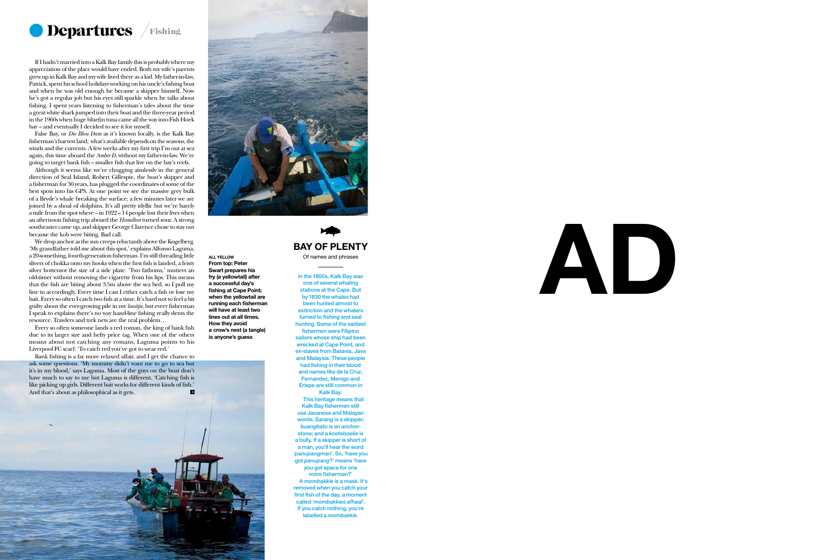50 south africa



## AD





ALL YELLOW From top: Peter Swart prepares his fry (a yellowtail) after a successful day's fishing at Cape Point; when the yellowtail are running each fisherman will have at least two lines out at all times. How they avoid a crow's nest (a tangle) is anyone's guess

### BAY OF PLENTY

Of names and phrases

In the 1800s, Kalk Bay was one of several whaling stations at the Cape. But by 1830 the whales had been hunted almost to extinction and the whalers turned to fishing and seal hunting. Some of the earliest fishermen were Filipino sailors whose ship had been wrecked at Cape Point, and ex-slaves from Batavia, Java and Malaysia. These people

had fishing in their blood and names like de la Cruz, Fernandez, Menigo and Erispe are still common in Kalk Bay.

This heritage means that Kalk Bay fishermen still use Javanese and Malayan words. *Sarang* is a skipper; *buangbatu* is an anchorstone; and a *koeteboelie* is a bully. If a skipper is short of a man, you'll hear the word '*panupangman*'. So, 'have you got *panupang*?' means 'have you got space for one more fisherman?' A *mombakkie* is a mask. It's removed when you catch your first fish of the day, a moment called '*mombakkies afhaal*'. If you catch nothing, you're labelled a *mombakkie*.

If I hadn't married into a Kalk Bay family this is probably where my appreciation of the place would have ended. Both my wife's parents grew up in Kalk Bay and my wife lived there as a kid. My father-in-law, Patrick, spent his school holidays working on his uncle's fishing boat and when he was old enough he became a skipper himself. Now he's got a regular job but his eyes still sparkle when he talks about fishing. I spent years listening to fisherman's tales about the time a great white shark jumped into their boat and the three-year period in the 1960s when huge bluefin tuna came all the way into Fish Hoek bay – and eventually I decided to see it for myself.

False Bay, or *Die Blou Dam* as it's known locally, is the Kalk Bay fisherman's harvest land; what's available depends on the seasons, the winds and the currents. A few weeks after my first trip I'm out at sea again, this time aboard the *Amber D*, without my father-in-law. We're going to target bank fish – smaller fish that live on the bay's reefs.

Although it seems like we're chugging aimlessly in the general direction of Seal Island, Robert Gillespie, the boat's skipper and a fisherman for 30 years, has plugged the coordinates of some of the best spots into his GPS. At one point we see the massive grey bulk of a Bryde's whale breaking the surface; a few minutes later we are joined by a shoal of dolphins. It's all pretty idyllic but we're barely a mile from the spot where – in  $1922 - 14$  people lost their lives when an afternoon fishing trip aboard the *Hamilton* turned sour. A strong southeaster came up, and skipper George Clarence chose to stay out because the kob were biting. Bad call.

We drop anchor as the sun creeps reluctantly above the Kogelberg. 'My grandfather told me about this spot,' explains Alfonso Laguma, a 20-something, fourth-generation fisherman. I'm still threading little slivers of chokka onto my hooks when the first fish is landed, a feisty silver hottentot the size of a side plate. 'Two fathoms,' mutters an old-timer without removing the cigarette from his lips. This means that the fish are biting about 3.5m above the sea bed, so I pull my line in accordingly. Every time I cast I either catch a fish or lose my bait. Every so often I catch two fish at a time. It's hard not to feel a bit guilty about the ever-growing pile in my *laaitjie*, but every fisherman I speak to explains there's no way hand-line fishing really dents the resource. Trawlers and trek nets are the real problem…

Every so often someone lands a red roman, the king of bank fish due to its larger size and hefty price tag. When one of the others moans about not catching any romans, Laguma points to his Liverpool FC scarf: 'To catch red you've got to wear red.'

Bank fishing is a far more relaxed affair, and I get the chance to ask some questions. 'My mommy didn't want me to go to sea but it's in my blood,' says Laguma. Most of the guys on the boat don't have much to say to me but Laguma is different. 'Catching fish is like picking up girls. Different bait works for different kinds of fish.' And that's about as philosophical as it gets.